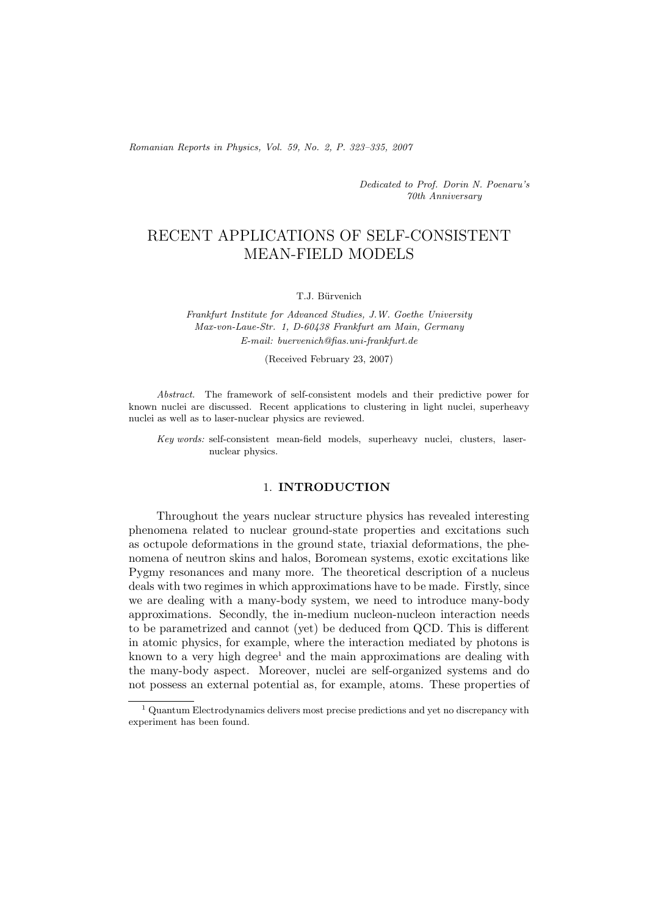*Romanian Reports in Physics, Vol. 59, No. 2, P. 323–335, 2007*

*Dedicated to Prof. Dorin N. Poenaru's 70th Anniversary*

# RECENT APPLICATIONS OF SELF-CONSISTENT MEAN-FIELD MODELS

### T.J. Bürvenich

*Frankfurt Institute for Advanced Studies, J.W. Goethe University Max-von-Laue-Str. 1, D-60438 Frankfurt am Main, Germany E-mail: buervenich@fias.uni-frankfurt.de*

(Received February 23, 2007)

*Abstract.* The framework of self-consistent models and their predictive power for known nuclei are discussed. Recent applications to clustering in light nuclei, superheavy nuclei as well as to laser-nuclear physics are reviewed.

*Key words:* self-consistent mean-field models, superheavy nuclei, clusters, lasernuclear physics.

## 1. **INTRODUCTION**

Throughout the years nuclear structure physics has revealed interesting phenomena related to nuclear ground-state properties and excitations such as octupole deformations in the ground state, triaxial deformations, the phenomena of neutron skins and halos, Boromean systems, exotic excitations like Pygmy resonances and many more. The theoretical description of a nucleus deals with two regimes in which approximations have to be made. Firstly, since we are dealing with a many-body system, we need to introduce many-body approximations. Secondly, the in-medium nucleon-nucleon interaction needs to be parametrized and cannot (yet) be deduced from QCD. This is different in atomic physics, for example, where the interaction mediated by photons is known to a very high degree<sup>1</sup> and the main approximations are dealing with the many-body aspect. Moreover, nuclei are self-organized systems and do not possess an external potential as, for example, atoms. These properties of

 $^{\rm 1}$  Quantum Electrodynamics delivers most precise predictions and yet no discrepancy with experiment has been found.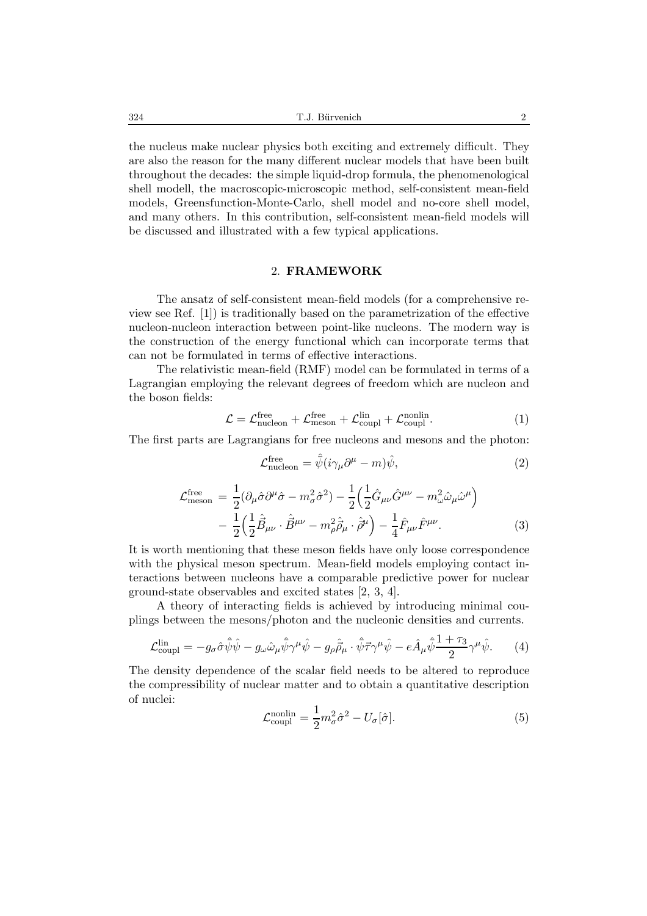the nucleus make nuclear physics both exciting and extremely difficult. They are also the reason for the many different nuclear models that have been built throughout the decades: the simple liquid-drop formula, the phenomenological shell modell, the macroscopic-microscopic method, self-consistent mean-field models, Greensfunction-Monte-Carlo, shell model and no-core shell model, and many others. In this contribution, self-consistent mean-field models will be discussed and illustrated with a few typical applications.

### 2. **FRAMEWORK**

The ansatz of self-consistent mean-field models (for a comprehensive review see Ref. [1]) is traditionally based on the parametrization of the effective nucleon-nucleon interaction between point-like nucleons. The modern way is the construction of the energy functional which can incorporate terms that can not be formulated in terms of effective interactions.

The relativistic mean-field (RMF) model can be formulated in terms of a Lagrangian employing the relevant degrees of freedom which are nucleon and the boson fields:

$$
\mathcal{L} = \mathcal{L}_{\text{nucleon}}^{\text{free}} + \mathcal{L}_{\text{meson}}^{\text{free}} + \mathcal{L}_{\text{coupl}}^{\text{lin}} + \mathcal{L}_{\text{coupl}}^{\text{nonlin}}.
$$
 (1)

The first parts are Lagrangians for free nucleons and mesons and the photon:

$$
\mathcal{L}_{\text{nucleon}}^{\text{free}} = \hat{\bar{\psi}} (i \gamma_{\mu} \partial^{\mu} - m) \hat{\psi}, \tag{2}
$$

$$
\mathcal{L}_{\text{meson}}^{\text{free}} = \frac{1}{2} (\partial_{\mu} \hat{\sigma} \partial^{\mu} \hat{\sigma} - m_{\sigma}^2 \hat{\sigma}^2) - \frac{1}{2} \left( \frac{1}{2} \hat{G}_{\mu\nu} \hat{G}^{\mu\nu} - m_{\omega}^2 \hat{\omega}_{\mu} \hat{\omega}^{\mu} \right) - \frac{1}{2} \left( \frac{1}{2} \hat{B}_{\mu\nu} \cdot \hat{B}^{\mu\nu} - m_{\rho}^2 \hat{\rho}_{\mu} \cdot \hat{\rho}^{\mu} \right) - \frac{1}{4} \hat{F}_{\mu\nu} \hat{F}^{\mu\nu}.
$$
 (3)

It is worth mentioning that these meson fields have only loose correspondence with the physical meson spectrum. Mean-field models employing contact interactions between nucleons have a comparable predictive power for nuclear ground-state observables and excited states [2, 3, 4].

A theory of interacting fields is achieved by introducing minimal couplings between the mesons/photon and the nucleonic densities and currents.

$$
\mathcal{L}_{\text{coupl}}^{\text{lin}} = -g_{\sigma}\hat{\sigma}\hat{\bar{\psi}}\hat{\psi} - g_{\omega}\hat{\omega}_{\mu}\hat{\bar{\psi}}\gamma^{\mu}\hat{\psi} - g_{\rho}\hat{\beta}_{\mu}\cdot\hat{\bar{\psi}}\vec{\tau}\gamma^{\mu}\hat{\psi} - e\hat{A}_{\mu}\hat{\bar{\psi}}\frac{1+\tau_{3}}{2}\gamma^{\mu}\hat{\psi}.
$$
 (4)

The density dependence of the scalar field needs to be altered to reproduce the compressibility of nuclear matter and to obtain a quantitative description of nuclei:

$$
\mathcal{L}_{\text{coupl}}^{\text{nonlin}} = \frac{1}{2} m_{\sigma}^2 \hat{\sigma}^2 - U_{\sigma}[\hat{\sigma}]. \tag{5}
$$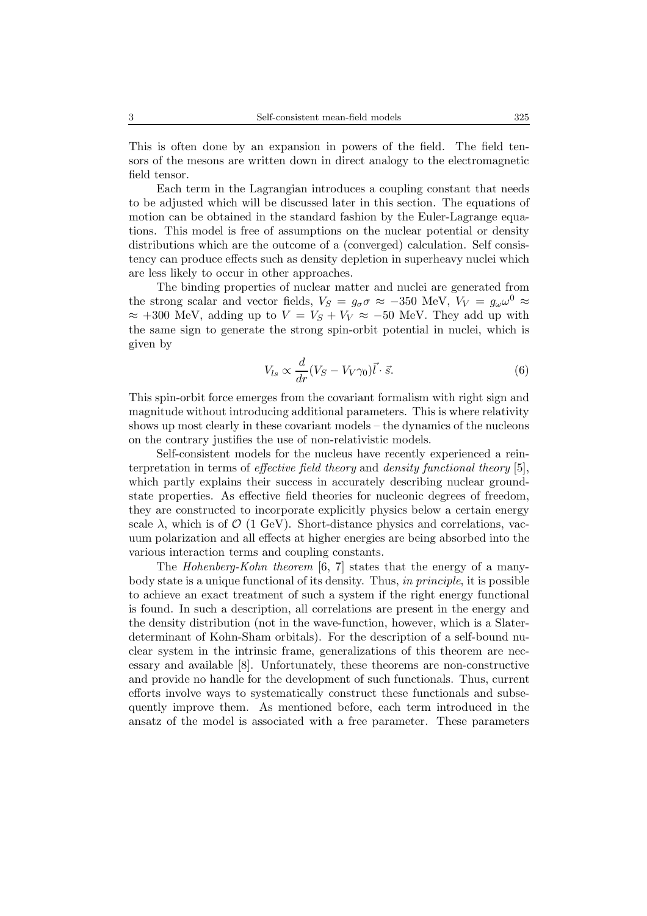This is often done by an expansion in powers of the field. The field tensors of the mesons are written down in direct analogy to the electromagnetic field tensor.

Each term in the Lagrangian introduces a coupling constant that needs to be adjusted which will be discussed later in this section. The equations of motion can be obtained in the standard fashion by the Euler-Lagrange equations. This model is free of assumptions on the nuclear potential or density distributions which are the outcome of a (converged) calculation. Self consistency can produce effects such as density depletion in superheavy nuclei which are less likely to occur in other approaches.

The binding properties of nuclear matter and nuclei are generated from the strong scalar and vector fields,  $V_S = g_{\sigma} \sigma \approx -350$  MeV,  $V_V = g_{\omega} \omega^0 \approx$  $\approx$  +300 MeV, adding up to  $V = V_S + V_V \approx -50$  MeV. They add up with the same sign to generate the strong spin-orbit potential in nuclei, which is given by

$$
V_{ls} \propto \frac{d}{dr}(V_S - V_V \gamma_0) \vec{l} \cdot \vec{s}.\tag{6}
$$

This spin-orbit force emerges from the covariant formalism with right sign and magnitude without introducing additional parameters. This is where relativity shows up most clearly in these covariant models – the dynamics of the nucleons on the contrary justifies the use of non-relativistic models.

Self-consistent models for the nucleus have recently experienced a reinterpretation in terms of *effective field theory* and *density functional theory* [5], which partly explains their success in accurately describing nuclear groundstate properties. As effective field theories for nucleonic degrees of freedom, they are constructed to incorporate explicitly physics below a certain energy scale  $\lambda$ , which is of  $\mathcal{O}$  (1 GeV). Short-distance physics and correlations, vacuum polarization and all effects at higher energies are being absorbed into the various interaction terms and coupling constants.

The *Hohenberg-Kohn theorem* [6, 7] states that the energy of a manybody state is a unique functional of its density. Thus, *in principle*, it is possible to achieve an exact treatment of such a system if the right energy functional is found. In such a description, all correlations are present in the energy and the density distribution (not in the wave-function, however, which is a Slaterdeterminant of Kohn-Sham orbitals). For the description of a self-bound nuclear system in the intrinsic frame, generalizations of this theorem are necessary and available [8]. Unfortunately, these theorems are non-constructive and provide no handle for the development of such functionals. Thus, current efforts involve ways to systematically construct these functionals and subsequently improve them. As mentioned before, each term introduced in the ansatz of the model is associated with a free parameter. These parameters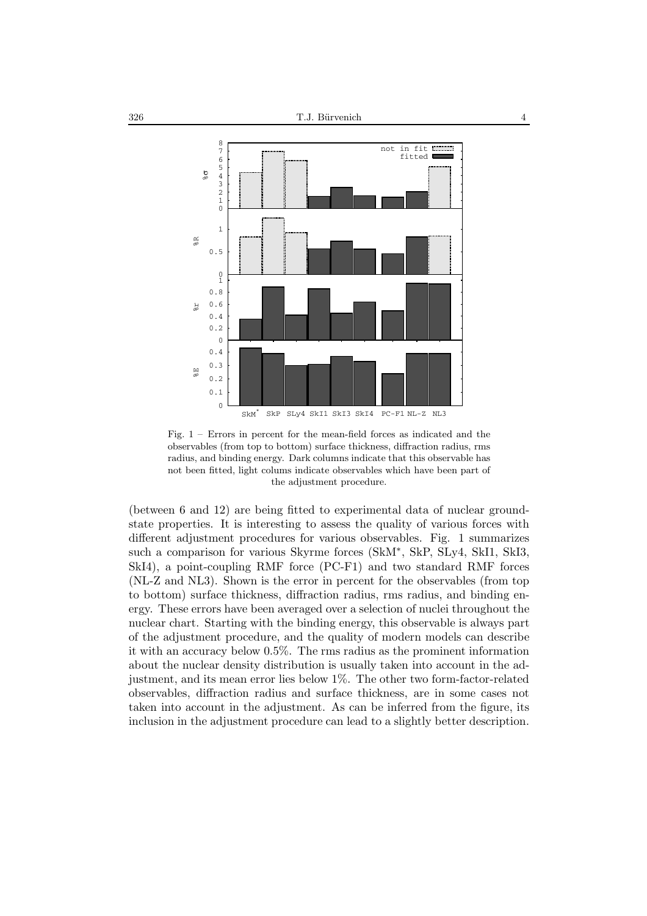

Fig. 1 – Errors in percent for the mean-field forces as indicated and the observables (from top to bottom) surface thickness, diffraction radius, rms radius, and binding energy. Dark columns indicate that this observable has not been fitted, light colums indicate observables which have been part of the adjustment procedure.

(between 6 and 12) are being fitted to experimental data of nuclear groundstate properties. It is interesting to assess the quality of various forces with different adjustment procedures for various observables. Fig. 1 summarizes such a comparison for various Skyrme forces (SkM∗, SkP, SLy4, SkI1, SkI3, SkI4), a point-coupling RMF force (PC-F1) and two standard RMF forces (NL-Z and NL3). Shown is the error in percent for the observables (from top to bottom) surface thickness, diffraction radius, rms radius, and binding energy. These errors have been averaged over a selection of nuclei throughout the nuclear chart. Starting with the binding energy, this observable is always part of the adjustment procedure, and the quality of modern models can describe it with an accuracy below 0.5%. The rms radius as the prominent information about the nuclear density distribution is usually taken into account in the adjustment, and its mean error lies below 1%. The other two form-factor-related observables, diffraction radius and surface thickness, are in some cases not taken into account in the adjustment. As can be inferred from the figure, its inclusion in the adjustment procedure can lead to a slightly better description.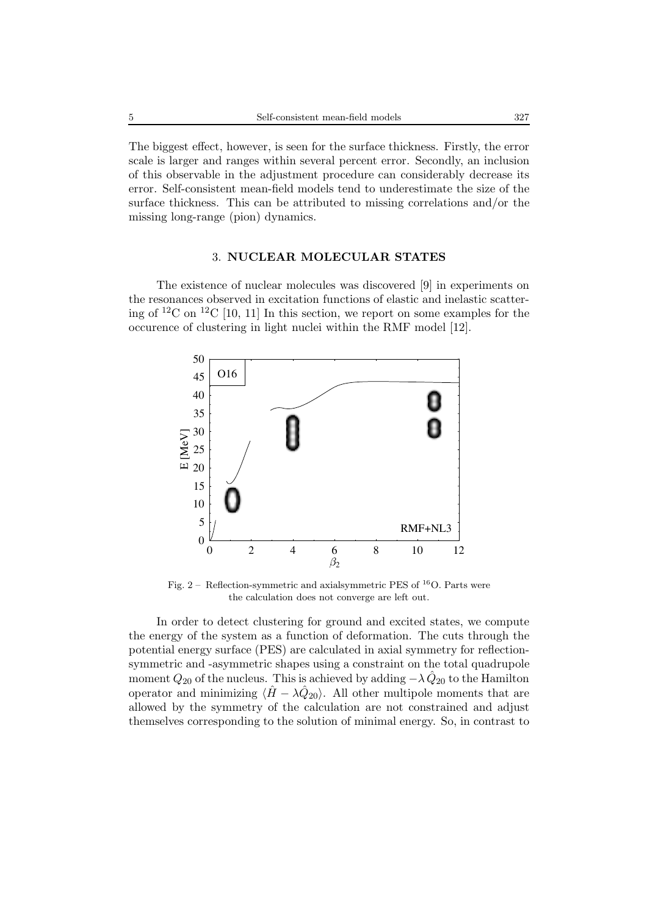The biggest effect, however, is seen for the surface thickness. Firstly, the error scale is larger and ranges within several percent error. Secondly, an inclusion of this observable in the adjustment procedure can considerably decrease its error. Self-consistent mean-field models tend to underestimate the size of the surface thickness. This can be attributed to missing correlations and/or the missing long-range (pion) dynamics.

# 3. **NUCLEAR MOLECULAR STATES**

The existence of nuclear molecules was discovered [9] in experiments on the resonances observed in excitation functions of elastic and inelastic scattering of <sup>12</sup>C on <sup>12</sup>C [10, 11] In this section, we report on some examples for the occurence of clustering in light nuclei within the RMF model [12].



Fig. 2 – Reflection-symmetric and axial<br>symmetric PES of  $^{16}{\rm O}.$  Parts were the calculation does not converge are left out.

In order to detect clustering for ground and excited states, we compute the energy of the system as a function of deformation. The cuts through the potential energy surface (PES) are calculated in axial symmetry for reflectionsymmetric and -asymmetric shapes using a constraint on the total quadrupole moment  $Q_{20}$  of the nucleus. This is achieved by adding  $-\lambda \tilde{Q}_{20}$  to the Hamilton operator and minimizing  $\langle \hat{H} - \lambda \hat{Q}_{20} \rangle$ . All other multipole moments that are allowed by the symmetry of the calculation are not constrained and adjust themselves corresponding to the solution of minimal energy. So, in contrast to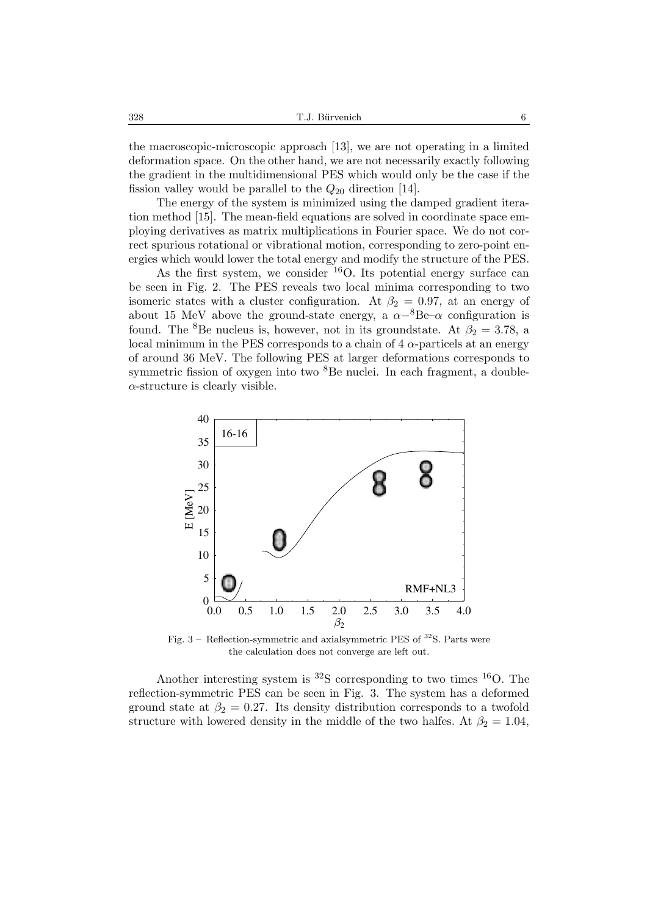the macroscopic-microscopic approach [13], we are not operating in a limited deformation space. On the other hand, we are not necessarily exactly following the gradient in the multidimensional PES which would only be the case if the fission valley would be parallel to the  $Q_{20}$  direction [14].

The energy of the system is minimized using the damped gradient iteration method [15]. The mean-field equations are solved in coordinate space employing derivatives as matrix multiplications in Fourier space. We do not correct spurious rotational or vibrational motion, corresponding to zero-point energies which would lower the total energy and modify the structure of the PES.

As the first system, we consider  $^{16}$ O. Its potential energy surface can be seen in Fig. 2. The PES reveals two local minima corresponding to two isomeric states with a cluster configuration. At  $\beta_2 = 0.97$ , at an energy of about 15 MeV above the ground-state energy, a  $\alpha^{-8}$ Be– $\alpha$  configuration is found. The <sup>8</sup>Be nucleus is, however, not in its groundstate. At  $\beta_2 = 3.78$ , a local minimum in the PES corresponds to a chain of  $4 \alpha$ -particels at an energy of around 36 MeV. The following PES at larger deformations corresponds to symmetric fission of oxygen into two  ${}^{8}$ Be nuclei. In each fragment, a double- $\alpha$ -structure is clearly visible.



Fig. 3 – Reflection-symmetric and axial<br>symmetric PES of  $^{32}{\rm S.}$  Parts were the calculation does not converge are left out.

Another interesting system is  ${}^{32}S$  corresponding to two times  ${}^{16}O$ . The reflection-symmetric PES can be seen in Fig. 3. The system has a deformed ground state at  $\beta_2 = 0.27$ . Its density distribution corresponds to a twofold structure with lowered density in the middle of the two halfes. At  $\beta_2 = 1.04$ ,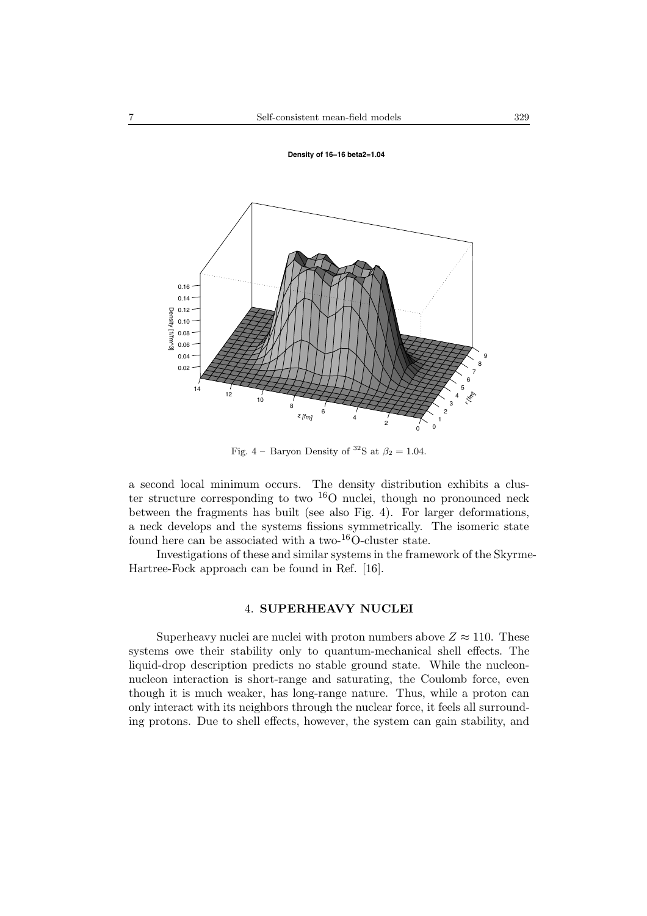

Fig. 4 – Baryon Density of <sup>32</sup>S at  $\beta_2 = 1.04$ .

a second local minimum occurs. The density distribution exhibits a cluster structure corresponding to two <sup>16</sup>O nuclei, though no pronounced neck between the fragments has built (see also Fig. 4). For larger deformations, a neck develops and the systems fissions symmetrically. The isomeric state found here can be associated with a two- $^{16}$ O-cluster state.

Investigations of these and similar systems in the framework of the Skyrme-Hartree-Fock approach can be found in Ref. [16].

# 4. **SUPERHEAVY NUCLEI**

Superheavy nuclei are nuclei with proton numbers above  $Z \approx 110$ . These systems owe their stability only to quantum-mechanical shell effects. The liquid-drop description predicts no stable ground state. While the nucleonnucleon interaction is short-range and saturating, the Coulomb force, even though it is much weaker, has long-range nature. Thus, while a proton can only interact with its neighbors through the nuclear force, it feels all surrounding protons. Due to shell effects, however, the system can gain stability, and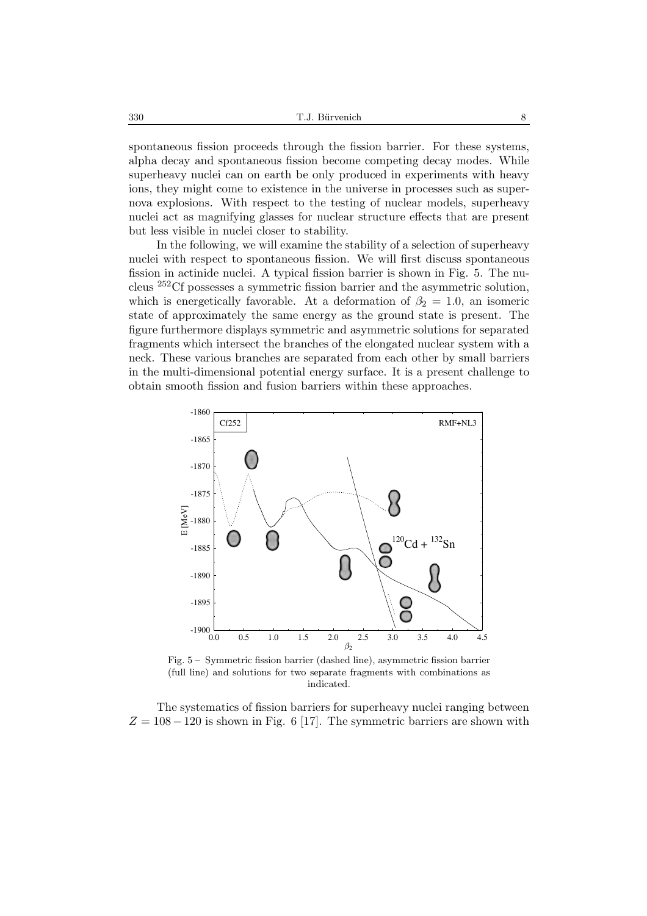spontaneous fission proceeds through the fission barrier. For these systems, alpha decay and spontaneous fission become competing decay modes. While superheavy nuclei can on earth be only produced in experiments with heavy ions, they might come to existence in the universe in processes such as supernova explosions. With respect to the testing of nuclear models, superheavy nuclei act as magnifying glasses for nuclear structure effects that are present but less visible in nuclei closer to stability.

In the following, we will examine the stability of a selection of superheavy nuclei with respect to spontaneous fission. We will first discuss spontaneous fission in actinide nuclei. A typical fission barrier is shown in Fig. 5. The nucleus <sup>252</sup>Cf possesses a symmetric fission barrier and the asymmetric solution, which is energetically favorable. At a deformation of  $\beta_2 = 1.0$ , an isomeric state of approximately the same energy as the ground state is present. The figure furthermore displays symmetric and asymmetric solutions for separated fragments which intersect the branches of the elongated nuclear system with a neck. These various branches are separated from each other by small barriers in the multi-dimensional potential energy surface. It is a present challenge to obtain smooth fission and fusion barriers within these approaches.



Fig. 5 – Symmetric fission barrier (dashed line), asymmetric fission barrier (full line) and solutions for two separate fragments with combinations as indicated.

The systematics of fission barriers for superheavy nuclei ranging between  $Z = 108 - 120$  is shown in Fig. 6 [17]. The symmetric barriers are shown with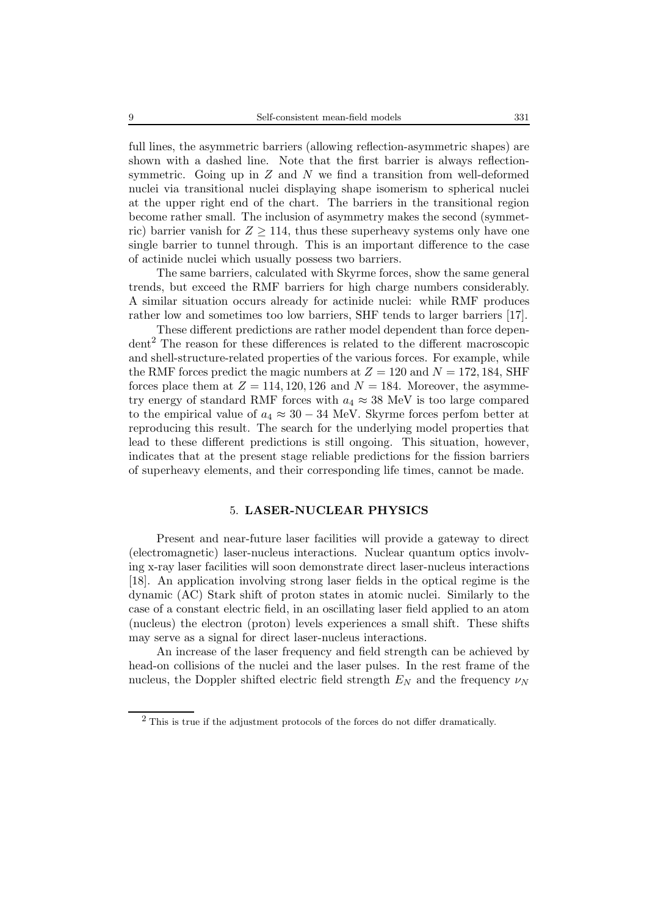full lines, the asymmetric barriers (allowing reflection-asymmetric shapes) are shown with a dashed line. Note that the first barrier is always reflectionsymmetric. Going up in  $Z$  and  $N$  we find a transition from well-deformed nuclei via transitional nuclei displaying shape isomerism to spherical nuclei at the upper right end of the chart. The barriers in the transitional region become rather small. The inclusion of asymmetry makes the second (symmetric) barrier vanish for  $Z \geq 114$ , thus these superheavy systems only have one single barrier to tunnel through. This is an important difference to the case of actinide nuclei which usually possess two barriers.

The same barriers, calculated with Skyrme forces, show the same general trends, but exceed the RMF barriers for high charge numbers considerably. A similar situation occurs already for actinide nuclei: while RMF produces rather low and sometimes too low barriers, SHF tends to larger barriers [17].

These different predictions are rather model dependent than force depen- $\text{dent}^2$  The reason for these differences is related to the different macroscopic and shell-structure-related properties of the various forces. For example, while the RMF forces predict the magic numbers at  $Z = 120$  and  $N = 172, 184,$  SHF forces place them at  $Z = 114, 120, 126$  and  $N = 184$ . Moreover, the asymmetry energy of standard RMF forces with  $a_4 \approx 38$  MeV is too large compared to the empirical value of  $a_4 \approx 30 - 34$  MeV. Skyrme forces perfom better at reproducing this result. The search for the underlying model properties that lead to these different predictions is still ongoing. This situation, however, indicates that at the present stage reliable predictions for the fission barriers of superheavy elements, and their corresponding life times, cannot be made.

## 5. **LASER-NUCLEAR PHYSICS**

Present and near-future laser facilities will provide a gateway to direct (electromagnetic) laser-nucleus interactions. Nuclear quantum optics involving x-ray laser facilities will soon demonstrate direct laser-nucleus interactions [18]. An application involving strong laser fields in the optical regime is the dynamic (AC) Stark shift of proton states in atomic nuclei. Similarly to the case of a constant electric field, in an oscillating laser field applied to an atom (nucleus) the electron (proton) levels experiences a small shift. These shifts may serve as a signal for direct laser-nucleus interactions.

An increase of the laser frequency and field strength can be achieved by head-on collisions of the nuclei and the laser pulses. In the rest frame of the nucleus, the Doppler shifted electric field strength  $E_N$  and the frequency  $\nu_N$ 

 $^{2}$  This is true if the adjustment protocols of the forces do not differ dramatically.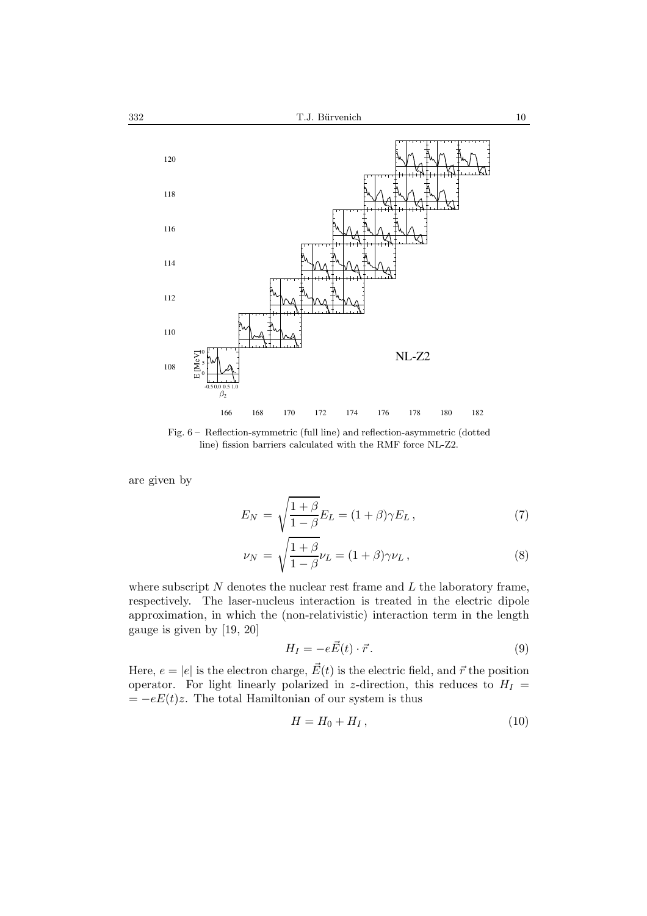

Fig. 6 – Reflection-symmetric (full line) and reflection-asymmetric (dotted line) fission barriers calculated with the RMF force NL-Z2.

are given by

$$
E_N = \sqrt{\frac{1+\beta}{1-\beta}} E_L = (1+\beta)\gamma E_L, \qquad (7)
$$

$$
\nu_N = \sqrt{\frac{1+\beta}{1-\beta}} \nu_L = (1+\beta)\gamma \nu_L, \qquad (8)
$$

where subscript  $N$  denotes the nuclear rest frame and  $L$  the laboratory frame, respectively. The laser-nucleus interaction is treated in the electric dipole approximation, in which the (non-relativistic) interaction term in the length gauge is given by [19, 20]

$$
H_I = -e\vec{E}(t) \cdot \vec{r}.
$$
 (9)

Here,  $e = |e|$  is the electron charge,  $\vec{E}(t)$  is the electric field, and  $\vec{r}$  the position operator. For light linearly polarized in z-direction, this reduces to  $H_I$  =  $= -eE(t)z$ . The total Hamiltonian of our system is thus

$$
H = H_0 + H_I, \qquad (10)
$$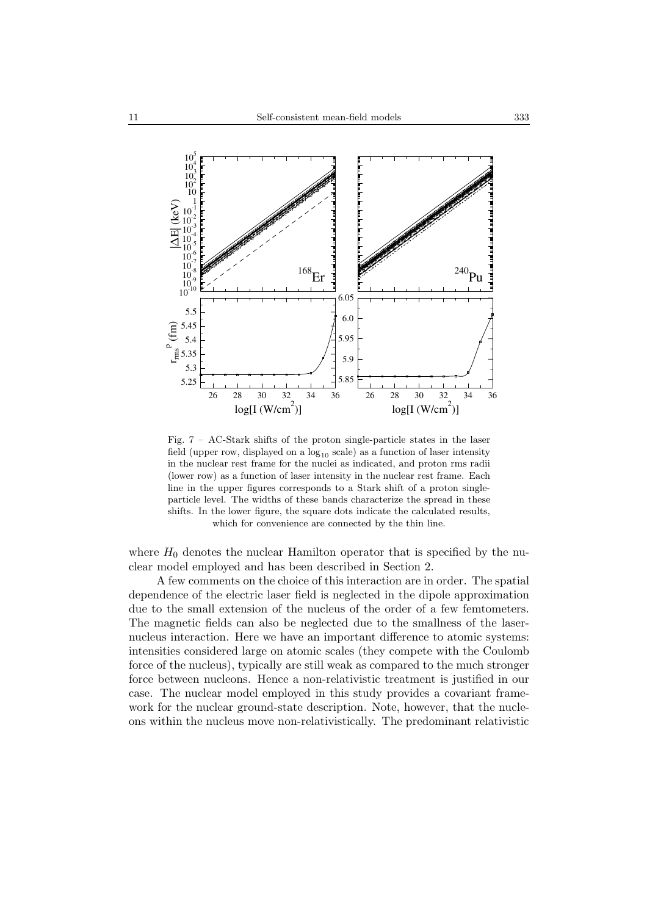

Fig.  $7 - AC-Stark$  shifts of the proton single-particle states in the laser field (upper row, displayed on a  $log_{10}$  scale) as a function of laser intensity in the nuclear rest frame for the nuclei as indicated, and proton rms radii (lower row) as a function of laser intensity in the nuclear rest frame. Each line in the upper figures corresponds to a Stark shift of a proton singleparticle level. The widths of these bands characterize the spread in these shifts. In the lower figure, the square dots indicate the calculated results, which for convenience are connected by the thin line.

where  $H_0$  denotes the nuclear Hamilton operator that is specified by the nuclear model employed and has been described in Section 2.

A few comments on the choice of this interaction are in order. The spatial dependence of the electric laser field is neglected in the dipole approximation due to the small extension of the nucleus of the order of a few femtometers. The magnetic fields can also be neglected due to the smallness of the lasernucleus interaction. Here we have an important difference to atomic systems: intensities considered large on atomic scales (they compete with the Coulomb force of the nucleus), typically are still weak as compared to the much stronger force between nucleons. Hence a non-relativistic treatment is justified in our case. The nuclear model employed in this study provides a covariant framework for the nuclear ground-state description. Note, however, that the nucleons within the nucleus move non-relativistically. The predominant relativistic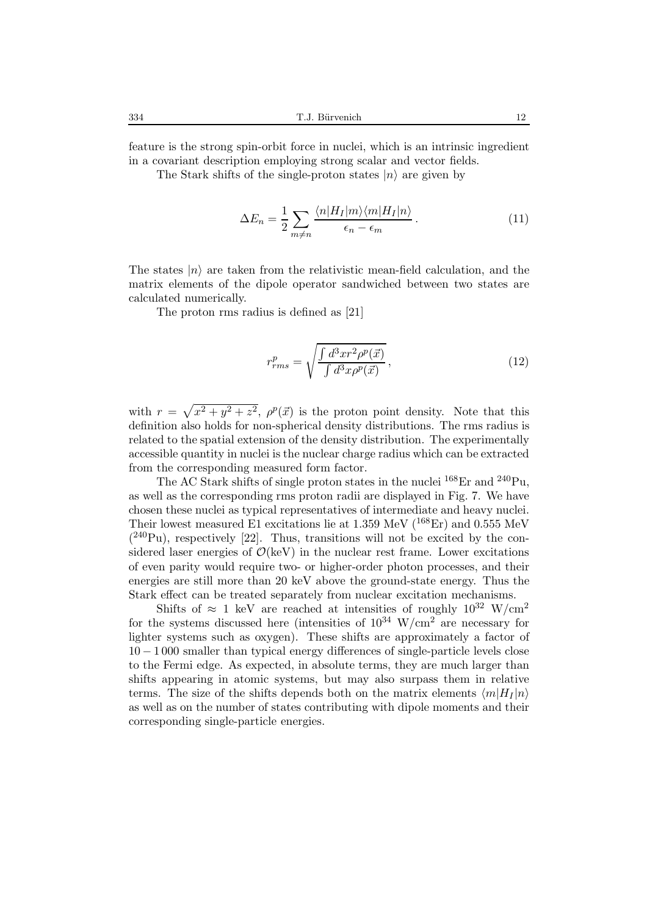feature is the strong spin-orbit force in nuclei, which is an intrinsic ingredient in a covariant description employing strong scalar and vector fields.

The Stark shifts of the single-proton states  $|n\rangle$  are given by

$$
\Delta E_n = \frac{1}{2} \sum_{m \neq n} \frac{\langle n | H_I | m \rangle \langle m | H_I | n \rangle}{\epsilon_n - \epsilon_m}.
$$
\n(11)

The states  $|n\rangle$  are taken from the relativistic mean-field calculation, and the matrix elements of the dipole operator sandwiched between two states are calculated numerically.

The proton rms radius is defined as [21]

$$
r_{rms}^p = \sqrt{\frac{\int d^3x r^2 \rho^p(\vec{x})}{\int d^3x \rho^p(\vec{x})}},\tag{12}
$$

with  $r = \sqrt{x^2 + y^2 + z^2}$ ,  $\rho^p(\vec{x})$  is the proton point density. Note that this definition also holds for non-spherical density distributions. The rms radius is related to the spatial extension of the density distribution. The experimentally accessible quantity in nuclei is the nuclear charge radius which can be extracted from the corresponding measured form factor.

The AC Stark shifts of single proton states in the nuclei  $^{168}\text{Er}$  and  $^{240}\text{Pu}$ . as well as the corresponding rms proton radii are displayed in Fig. 7. We have chosen these nuclei as typical representatives of intermediate and heavy nuclei. Their lowest measured E1 excitations lie at 1.359 MeV ( $^{168}$ Er) and 0.555 MeV  $(240Pu)$ , respectively [22]. Thus, transitions will not be excited by the considered laser energies of  $\mathcal{O}(keV)$  in the nuclear rest frame. Lower excitations of even parity would require two- or higher-order photon processes, and their energies are still more than 20 keV above the ground-state energy. Thus the Stark effect can be treated separately from nuclear excitation mechanisms.

Shifts of  $\approx 1$  keV are reached at intensities of roughly  $10^{32}$  W/cm<sup>2</sup> for the systems discussed here (intensities of  $10^{34}$  W/cm<sup>2</sup> are necessary for lighter systems such as oxygen). These shifts are approximately a factor of 10 − 1 000 smaller than typical energy differences of single-particle levels close to the Fermi edge. As expected, in absolute terms, they are much larger than shifts appearing in atomic systems, but may also surpass them in relative terms. The size of the shifts depends both on the matrix elements  $\langle m|H_I |n\rangle$ as well as on the number of states contributing with dipole moments and their corresponding single-particle energies.